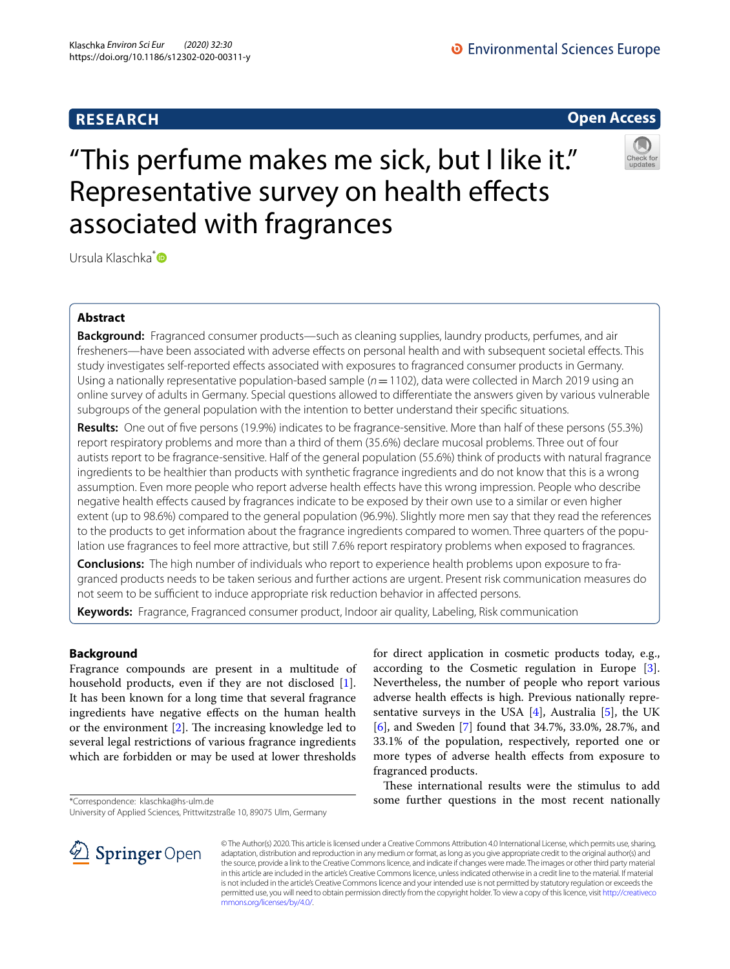## **RESEARCH**

**O** Environmental Sciences Europe



# "This perfume makes me sick, but I like it." Representative survey on health effects associated with fragrances



Ursula Klaschka<sup>[\\*](http://orcid.org/0000-0001-7651-7231)</sup>

## **Abstract**

**Background:** Fragranced consumer products—such as cleaning supplies, laundry products, perfumes, and air fresheners—have been associated with adverse effects on personal health and with subsequent societal effects. This study investigates self-reported efects associated with exposures to fragranced consumer products in Germany. Using a nationally representative population-based sample (*n*=1102), data were collected in March 2019 using an online survey of adults in Germany. Special questions allowed to diferentiate the answers given by various vulnerable subgroups of the general population with the intention to better understand their specifc situations.

**Results:** One out of fve persons (19.9%) indicates to be fragrance-sensitive. More than half of these persons (55.3%) report respiratory problems and more than a third of them (35.6%) declare mucosal problems. Three out of four autists report to be fragrance-sensitive. Half of the general population (55.6%) think of products with natural fragrance ingredients to be healthier than products with synthetic fragrance ingredients and do not know that this is a wrong assumption. Even more people who report adverse health efects have this wrong impression. People who describe negative health efects caused by fragrances indicate to be exposed by their own use to a similar or even higher extent (up to 98.6%) compared to the general population (96.9%). Slightly more men say that they read the references to the products to get information about the fragrance ingredients compared to women. Three quarters of the population use fragrances to feel more attractive, but still 7.6% report respiratory problems when exposed to fragrances.

**Conclusions:** The high number of individuals who report to experience health problems upon exposure to fragranced products needs to be taken serious and further actions are urgent. Present risk communication measures do not seem to be sufficient to induce appropriate risk reduction behavior in affected persons.

**Keywords:** Fragrance, Fragranced consumer product, Indoor air quality, Labeling, Risk communication

## **Background**

Fragrance compounds are present in a multitude of household products, even if they are not disclosed [\[1](#page-12-0)]. It has been known for a long time that several fragrance ingredients have negative efects on the human health or the environment  $[2]$  $[2]$ . The increasing knowledge led to several legal restrictions of various fragrance ingredients which are forbidden or may be used at lower thresholds

\*Correspondence: klaschka@hs-ulm.de

University of Applied Sciences, Prittwitzstraße 10, 89075 Ulm, Germany

for direct application in cosmetic products today, e.g., according to the Cosmetic regulation in Europe [\[3](#page-12-2)]. Nevertheless, the number of people who report various adverse health efects is high. Previous nationally representative surveys in the USA  $[4]$  $[4]$ , Australia  $[5]$  $[5]$ , the UK [[6\]](#page-12-5), and Sweden [[7\]](#page-12-6) found that 34.7%, 33.0%, 28.7%, and 33.1% of the population, respectively, reported one or more types of adverse health efects from exposure to fragranced products.

These international results were the stimulus to add some further questions in the most recent nationally



© The Author(s) 2020. This article is licensed under a Creative Commons Attribution 4.0 International License, which permits use, sharing, adaptation, distribution and reproduction in any medium or format, as long as you give appropriate credit to the original author(s) and the source, provide a link to the Creative Commons licence, and indicate if changes were made. The images or other third party material in this article are included in the article's Creative Commons licence, unless indicated otherwise in a credit line to the material. If material is not included in the article's Creative Commons licence and your intended use is not permitted by statutory regulation or exceeds the permitted use, you will need to obtain permission directly from the copyright holder. To view a copy of this licence, visit [http://creativeco](http://creativecommons.org/licenses/by/4.0/) [mmons.org/licenses/by/4.0/.](http://creativecommons.org/licenses/by/4.0/)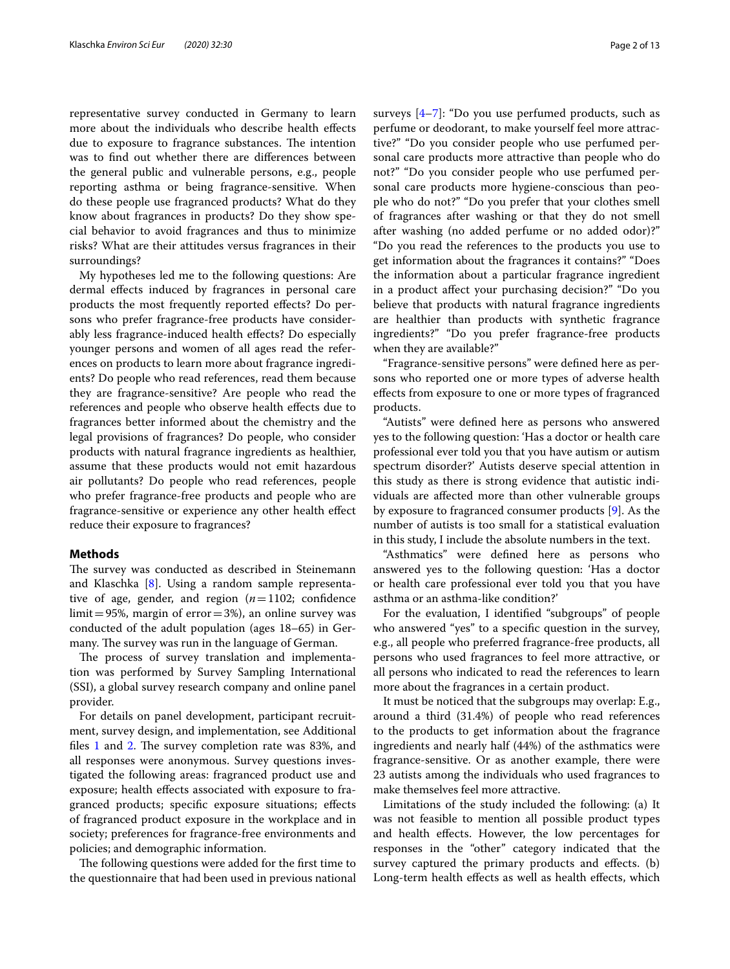representative survey conducted in Germany to learn more about the individuals who describe health effects due to exposure to fragrance substances. The intention was to fnd out whether there are diferences between the general public and vulnerable persons, e.g., people reporting asthma or being fragrance-sensitive. When do these people use fragranced products? What do they know about fragrances in products? Do they show special behavior to avoid fragrances and thus to minimize risks? What are their attitudes versus fragrances in their surroundings?

My hypotheses led me to the following questions: Are dermal effects induced by fragrances in personal care products the most frequently reported efects? Do persons who prefer fragrance-free products have considerably less fragrance-induced health efects? Do especially younger persons and women of all ages read the references on products to learn more about fragrance ingredients? Do people who read references, read them because they are fragrance-sensitive? Are people who read the references and people who observe health efects due to fragrances better informed about the chemistry and the legal provisions of fragrances? Do people, who consider products with natural fragrance ingredients as healthier, assume that these products would not emit hazardous air pollutants? Do people who read references, people who prefer fragrance-free products and people who are fragrance-sensitive or experience any other health efect reduce their exposure to fragrances?

## **Methods**

The survey was conducted as described in Steinemann and Klaschka [\[8](#page-12-7)]. Using a random sample representative of age, gender, and region  $(n=1102;$  confidence  $limit = 95\%$ , margin of error = 3%), an online survey was conducted of the adult population (ages 18–65) in Germany. The survey was run in the language of German.

The process of survey translation and implementation was performed by Survey Sampling International (SSI), a global survey research company and online panel provider.

For details on panel development, participant recruitment, survey design, and implementation, see Additional files [1](#page-11-0) and [2.](#page-11-1) The survey completion rate was  $83\%$ , and all responses were anonymous. Survey questions investigated the following areas: fragranced product use and exposure; health efects associated with exposure to fragranced products; specifc exposure situations; efects of fragranced product exposure in the workplace and in society; preferences for fragrance-free environments and policies; and demographic information.

The following questions were added for the first time to the questionnaire that had been used in previous national surveys [\[4](#page-12-3)–[7\]](#page-12-6): "Do you use perfumed products, such as perfume or deodorant, to make yourself feel more attractive?" "Do you consider people who use perfumed personal care products more attractive than people who do not?" "Do you consider people who use perfumed personal care products more hygiene-conscious than people who do not?" "Do you prefer that your clothes smell of fragrances after washing or that they do not smell after washing (no added perfume or no added odor)?" "Do you read the references to the products you use to get information about the fragrances it contains?" "Does the information about a particular fragrance ingredient in a product afect your purchasing decision?" "Do you believe that products with natural fragrance ingredients are healthier than products with synthetic fragrance ingredients?" "Do you prefer fragrance-free products when they are available?"

"Fragrance-sensitive persons" were defned here as persons who reported one or more types of adverse health efects from exposure to one or more types of fragranced products.

"Autists" were defned here as persons who answered yes to the following question: 'Has a doctor or health care professional ever told you that you have autism or autism spectrum disorder?' Autists deserve special attention in this study as there is strong evidence that autistic individuals are afected more than other vulnerable groups by exposure to fragranced consumer products [\[9](#page-12-8)]. As the number of autists is too small for a statistical evaluation in this study, I include the absolute numbers in the text.

"Asthmatics" were defned here as persons who answered yes to the following question: 'Has a doctor or health care professional ever told you that you have asthma or an asthma-like condition?'

For the evaluation, I identifed "subgroups" of people who answered "yes" to a specifc question in the survey, e.g., all people who preferred fragrance-free products, all persons who used fragrances to feel more attractive, or all persons who indicated to read the references to learn more about the fragrances in a certain product.

It must be noticed that the subgroups may overlap: E.g., around a third (31.4%) of people who read references to the products to get information about the fragrance ingredients and nearly half (44%) of the asthmatics were fragrance-sensitive. Or as another example, there were 23 autists among the individuals who used fragrances to make themselves feel more attractive.

Limitations of the study included the following: (a) It was not feasible to mention all possible product types and health efects. However, the low percentages for responses in the "other" category indicated that the survey captured the primary products and efects. (b) Long-term health effects as well as health effects, which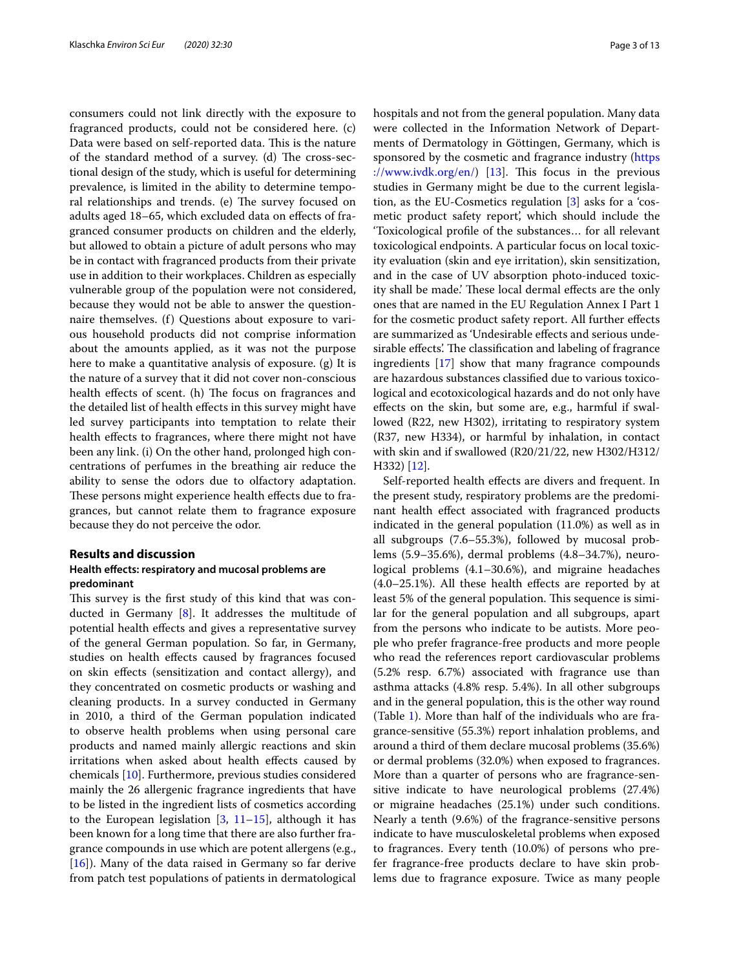consumers could not link directly with the exposure to fragranced products, could not be considered here. (c) Data were based on self-reported data. This is the nature of the standard method of a survey. (d) The cross-sectional design of the study, which is useful for determining prevalence, is limited in the ability to determine temporal relationships and trends. (e) The survey focused on adults aged 18–65, which excluded data on efects of fragranced consumer products on children and the elderly, but allowed to obtain a picture of adult persons who may be in contact with fragranced products from their private use in addition to their workplaces. Children as especially vulnerable group of the population were not considered, because they would not be able to answer the questionnaire themselves. (f) Questions about exposure to various household products did not comprise information about the amounts applied, as it was not the purpose here to make a quantitative analysis of exposure. (g) It is the nature of a survey that it did not cover non-conscious health effects of scent. (h) The focus on fragrances and the detailed list of health effects in this survey might have led survey participants into temptation to relate their health effects to fragrances, where there might not have been any link. (i) On the other hand, prolonged high concentrations of perfumes in the breathing air reduce the ability to sense the odors due to olfactory adaptation. These persons might experience health effects due to fragrances, but cannot relate them to fragrance exposure because they do not perceive the odor.

## **Results and discussion**

## **Health efects: respiratory and mucosal problems are predominant**

This survey is the first study of this kind that was conducted in Germany [\[8\]](#page-12-7). It addresses the multitude of potential health efects and gives a representative survey of the general German population. So far, in Germany, studies on health efects caused by fragrances focused on skin efects (sensitization and contact allergy), and they concentrated on cosmetic products or washing and cleaning products. In a survey conducted in Germany in 2010, a third of the German population indicated to observe health problems when using personal care products and named mainly allergic reactions and skin irritations when asked about health efects caused by chemicals [[10\]](#page-12-9). Furthermore, previous studies considered mainly the 26 allergenic fragrance ingredients that have to be listed in the ingredient lists of cosmetics according to the European legislation  $[3, 11-15]$  $[3, 11-15]$  $[3, 11-15]$  $[3, 11-15]$ , although it has been known for a long time that there are also further fragrance compounds in use which are potent allergens (e.g., [[16\]](#page-12-12)). Many of the data raised in Germany so far derive from patch test populations of patients in dermatological hospitals and not from the general population. Many data were collected in the Information Network of Departments of Dermatology in Göttingen, Germany, which is sponsored by the cosmetic and fragrance industry ([https](https://www.ivdk.org/en/) [://www.ivdk.org/en/\)](https://www.ivdk.org/en/) [[13](#page-12-13)]. This focus in the previous studies in Germany might be due to the current legislation, as the EU-Cosmetics regulation [\[3](#page-12-2)] asks for a 'cosmetic product safety report', which should include the 'Toxicological profle of the substances… for all relevant toxicological endpoints. A particular focus on local toxicity evaluation (skin and eye irritation), skin sensitization, and in the case of UV absorption photo-induced toxicity shall be made.' These local dermal effects are the only ones that are named in the EU Regulation Annex I Part 1 for the cosmetic product safety report. All further efects are summarized as 'Undesirable efects and serious undesirable effects'. The classification and labeling of fragrance ingredients [\[17\]](#page-12-14) show that many fragrance compounds are hazardous substances classifed due to various toxicological and ecotoxicological hazards and do not only have efects on the skin, but some are, e.g., harmful if swallowed (R22, new H302), irritating to respiratory system (R37, new H334), or harmful by inhalation, in contact with skin and if swallowed (R20/21/22, new H302/H312/ H332) [[12\]](#page-12-15).

Self-reported health effects are divers and frequent. In the present study, respiratory problems are the predominant health efect associated with fragranced products indicated in the general population (11.0%) as well as in all subgroups (7.6–55.3%), followed by mucosal problems (5.9–35.6%), dermal problems (4.8–34.7%), neurological problems (4.1–30.6%), and migraine headaches  $(4.0-25.1\%)$ . All these health effects are reported by at least 5% of the general population. This sequence is similar for the general population and all subgroups, apart from the persons who indicate to be autists. More people who prefer fragrance-free products and more people who read the references report cardiovascular problems (5.2% resp. 6.7%) associated with fragrance use than asthma attacks (4.8% resp. 5.4%). In all other subgroups and in the general population, this is the other way round (Table [1](#page-3-0)). More than half of the individuals who are fragrance-sensitive (55.3%) report inhalation problems, and around a third of them declare mucosal problems (35.6%) or dermal problems (32.0%) when exposed to fragrances. More than a quarter of persons who are fragrance-sensitive indicate to have neurological problems (27.4%) or migraine headaches (25.1%) under such conditions. Nearly a tenth (9.6%) of the fragrance-sensitive persons indicate to have musculoskeletal problems when exposed to fragrances. Every tenth (10.0%) of persons who prefer fragrance-free products declare to have skin problems due to fragrance exposure. Twice as many people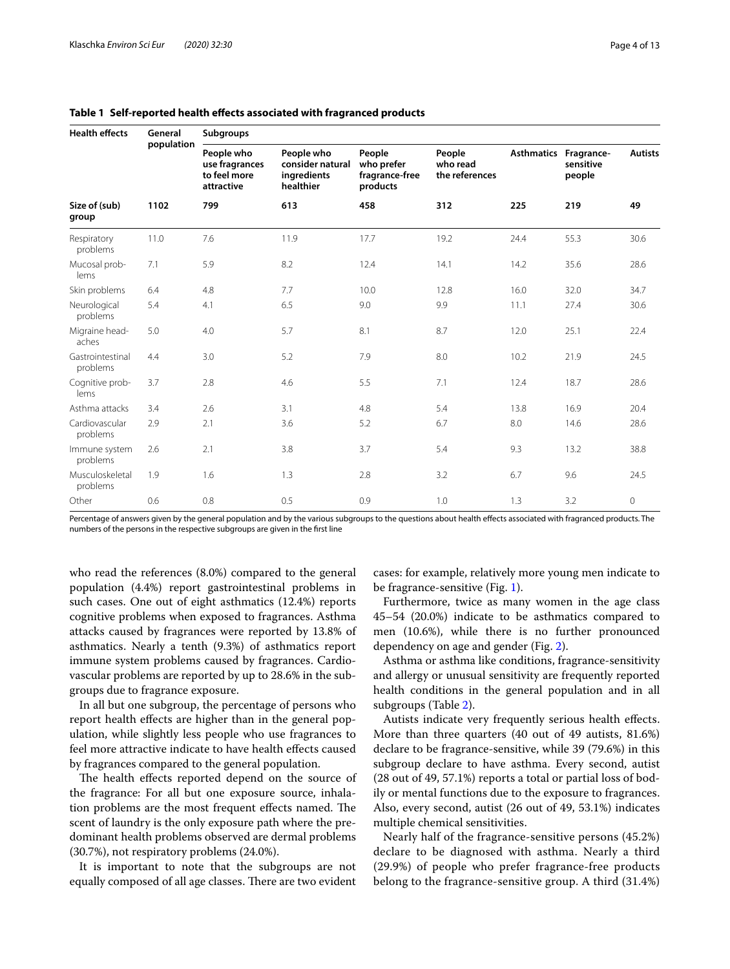| <b>Health effects</b>        | General<br>population | <b>Subgroups</b>                                           |                                                            |                                                    |                                      |                       |                     |                |  |
|------------------------------|-----------------------|------------------------------------------------------------|------------------------------------------------------------|----------------------------------------------------|--------------------------------------|-----------------------|---------------------|----------------|--|
|                              |                       | People who<br>use fragrances<br>to feel more<br>attractive | People who<br>consider natural<br>ingredients<br>healthier | People<br>who prefer<br>fragrance-free<br>products | People<br>who read<br>the references | Asthmatics Fragrance- | sensitive<br>people | <b>Autists</b> |  |
| Size of (sub)<br>group       | 1102                  | 799                                                        | 613                                                        | 458                                                | 312                                  | 225                   | 219                 | 49             |  |
| Respiratory<br>problems      | 11.0                  | 7.6                                                        | 11.9                                                       | 17.7                                               | 19.2                                 | 24.4                  | 55.3                | 30.6           |  |
| Mucosal prob-<br>lems        | 7.1                   | 5.9                                                        | 8.2                                                        | 12.4                                               | 14.1                                 | 14.2                  | 35.6                | 28.6           |  |
| Skin problems                | 6.4                   | 4.8                                                        | 7.7                                                        | 10.0                                               | 12.8                                 | 16.0                  | 32.0                | 34.7           |  |
| Neurological<br>problems     | 5.4                   | 4.1                                                        | 6.5                                                        | 9.0                                                | 9.9                                  | 11.1                  | 27.4                | 30.6           |  |
| Migraine head-<br>aches      | 5.0                   | 4.0                                                        | 5.7                                                        | 8.1                                                | 8.7                                  | 12.0                  | 25.1                | 22.4           |  |
| Gastrointestinal<br>problems | 4.4                   | 3.0                                                        | 5.2                                                        | 7.9                                                | 8.0                                  | 10.2                  | 21.9                | 24.5           |  |
| Cognitive prob-<br>lems      | 3.7                   | 2.8                                                        | 4.6                                                        | 5.5                                                | 7.1                                  | 12.4                  | 18.7                | 28.6           |  |
| Asthma attacks               | 3.4                   | 2.6                                                        | 3.1                                                        | 4.8                                                | 5.4                                  | 13.8                  | 16.9                | 20.4           |  |
| Cardiovascular<br>problems   | 2.9                   | 2.1                                                        | 3.6                                                        | 5.2                                                | 6.7                                  | 8.0                   | 14.6                | 28.6           |  |
| Immune system<br>problems    | 2.6                   | 2.1                                                        | 3.8                                                        | 3.7                                                | 5.4                                  | 9.3                   | 13.2                | 38.8           |  |
| Musculoskeletal<br>problems  | 1.9                   | 1.6                                                        | 1.3                                                        | 2.8                                                | 3.2                                  | 6.7                   | 9.6                 | 24.5           |  |
| Other                        | 0.6                   | 0.8                                                        | 0.5                                                        | 0.9                                                | 1.0                                  | 1.3                   | 3.2                 | $\circ$        |  |

<span id="page-3-0"></span>**Table 1 Self-reported health efects associated with fragranced products**

Percentage of answers given by the general population and by the various subgroups to the questions about health effects associated with fragranced products. The numbers of the persons in the respective subgroups are given in the frst line

who read the references (8.0%) compared to the general population (4.4%) report gastrointestinal problems in such cases. One out of eight asthmatics (12.4%) reports cognitive problems when exposed to fragrances. Asthma attacks caused by fragrances were reported by 13.8% of asthmatics. Nearly a tenth (9.3%) of asthmatics report immune system problems caused by fragrances. Cardiovascular problems are reported by up to 28.6% in the subgroups due to fragrance exposure.

In all but one subgroup, the percentage of persons who report health efects are higher than in the general population, while slightly less people who use fragrances to feel more attractive indicate to have health efects caused by fragrances compared to the general population.

The health effects reported depend on the source of the fragrance: For all but one exposure source, inhalation problems are the most frequent effects named. The scent of laundry is the only exposure path where the predominant health problems observed are dermal problems (30.7%), not respiratory problems (24.0%).

It is important to note that the subgroups are not equally composed of all age classes. There are two evident

cases: for example, relatively more young men indicate to be fragrance-sensitive (Fig. [1\)](#page-4-0).

Furthermore, twice as many women in the age class 45–54 (20.0%) indicate to be asthmatics compared to men (10.6%), while there is no further pronounced dependency on age and gender (Fig. [2](#page-4-1)).

Asthma or asthma like conditions, fragrance-sensitivity and allergy or unusual sensitivity are frequently reported health conditions in the general population and in all subgroups (Table [2](#page-5-0)).

Autists indicate very frequently serious health efects. More than three quarters (40 out of 49 autists, 81.6%) declare to be fragrance-sensitive, while 39 (79.6%) in this subgroup declare to have asthma. Every second, autist (28 out of 49, 57.1%) reports a total or partial loss of bodily or mental functions due to the exposure to fragrances. Also, every second, autist (26 out of 49, 53.1%) indicates multiple chemical sensitivities.

Nearly half of the fragrance-sensitive persons (45.2%) declare to be diagnosed with asthma. Nearly a third (29.9%) of people who prefer fragrance-free products belong to the fragrance-sensitive group. A third (31.4%)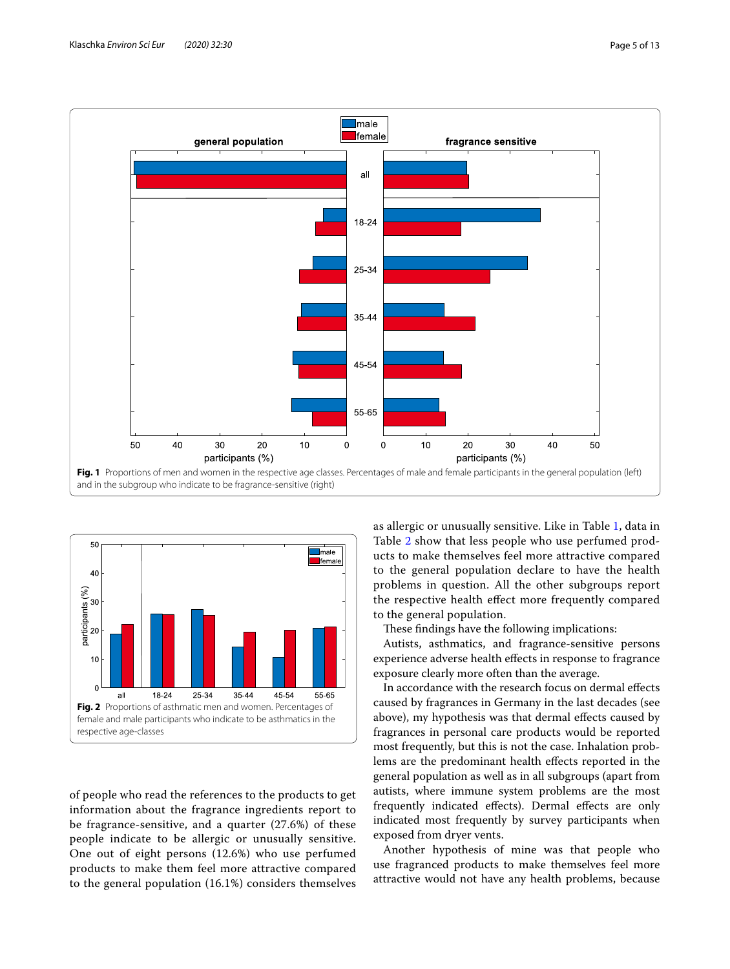

<span id="page-4-0"></span>

<span id="page-4-1"></span>of people who read the references to the products to get information about the fragrance ingredients report to be fragrance-sensitive, and a quarter (27.6%) of these people indicate to be allergic or unusually sensitive. One out of eight persons (12.6%) who use perfumed products to make them feel more attractive compared to the general population (16.1%) considers themselves as allergic or unusually sensitive. Like in Table [1](#page-3-0), data in Table [2](#page-5-0) show that less people who use perfumed products to make themselves feel more attractive compared to the general population declare to have the health problems in question. All the other subgroups report the respective health efect more frequently compared to the general population.

These findings have the following implications:

Autists, asthmatics, and fragrance-sensitive persons experience adverse health efects in response to fragrance exposure clearly more often than the average.

In accordance with the research focus on dermal efects caused by fragrances in Germany in the last decades (see above), my hypothesis was that dermal efects caused by fragrances in personal care products would be reported most frequently, but this is not the case. Inhalation problems are the predominant health efects reported in the general population as well as in all subgroups (apart from autists, where immune system problems are the most frequently indicated efects). Dermal efects are only indicated most frequently by survey participants when exposed from dryer vents.

Another hypothesis of mine was that people who use fragranced products to make themselves feel more attractive would not have any health problems, because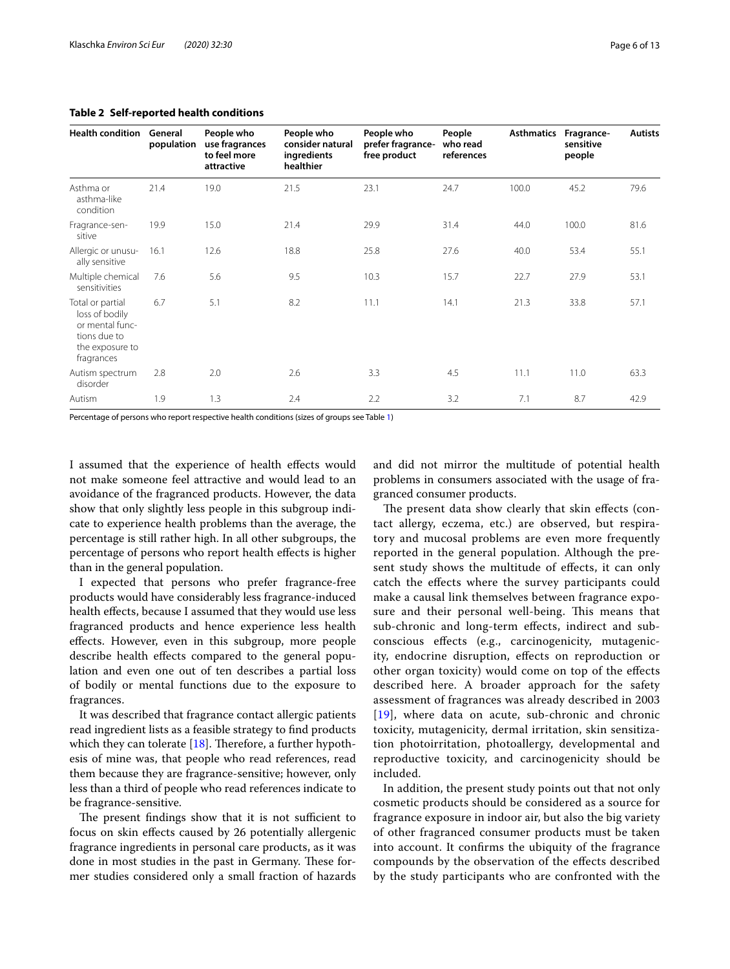**Health condition General** 

Asthma or asthma-like condition

Fragrance-sensitive

Allergic or unusually sensitive

Multiple chemical sensitivities

Total or partial loss of bodily or mental functions due to the exposure to fragrances

Autism spectrum disorder

19.9 15.0 21.4 29.9 31.4 44.0 100.0 81.6

16.1 12.6 18.8 25.8 27.6 40.0 53.4 55.1

7.6 5.6 9.5 10.3 15.7 22.7 27.9 53.1

6.7 5.1 8.2 11.1 14.1 21.3 33.8 57.1

2.8 2.0 2.6 3.3 4.5 11.1 11.0 63.3

Autism 1.9 1.3 2.4 2.2 3.2 7.1 8.7 42.9

<span id="page-5-0"></span>**Table 2 Self-reported health conditions**

Percentage of persons who report respective health conditions (sizes of groups see Table [1](#page-3-0))

I assumed that the experience of health efects would not make someone feel attractive and would lead to an avoidance of the fragranced products. However, the data show that only slightly less people in this subgroup indicate to experience health problems than the average, the percentage is still rather high. In all other subgroups, the percentage of persons who report health efects is higher than in the general population.

I expected that persons who prefer fragrance-free products would have considerably less fragrance-induced health efects, because I assumed that they would use less fragranced products and hence experience less health efects. However, even in this subgroup, more people describe health efects compared to the general population and even one out of ten describes a partial loss of bodily or mental functions due to the exposure to fragrances.

It was described that fragrance contact allergic patients read ingredient lists as a feasible strategy to fnd products which they can tolerate  $[18]$  $[18]$  $[18]$ . Therefore, a further hypothesis of mine was, that people who read references, read them because they are fragrance-sensitive; however, only less than a third of people who read references indicate to be fragrance-sensitive.

The present findings show that it is not sufficient to focus on skin efects caused by 26 potentially allergenic fragrance ingredients in personal care products, as it was done in most studies in the past in Germany. These former studies considered only a small fraction of hazards and did not mirror the multitude of potential health problems in consumers associated with the usage of fragranced consumer products.

The present data show clearly that skin effects (contact allergy, eczema, etc.) are observed, but respiratory and mucosal problems are even more frequently reported in the general population. Although the present study shows the multitude of efects, it can only catch the efects where the survey participants could make a causal link themselves between fragrance exposure and their personal well-being. This means that sub-chronic and long-term efects, indirect and subconscious efects (e.g., carcinogenicity, mutagenicity, endocrine disruption, efects on reproduction or other organ toxicity) would come on top of the efects described here. A broader approach for the safety assessment of fragrances was already described in 2003 [[19](#page-12-17)], where data on acute, sub-chronic and chronic toxicity, mutagenicity, dermal irritation, skin sensitization photoirritation, photoallergy, developmental and reproductive toxicity, and carcinogenicity should be included.

In addition, the present study points out that not only cosmetic products should be considered as a source for fragrance exposure in indoor air, but also the big variety of other fragranced consumer products must be taken into account. It confrms the ubiquity of the fragrance compounds by the observation of the efects described by the study participants who are confronted with the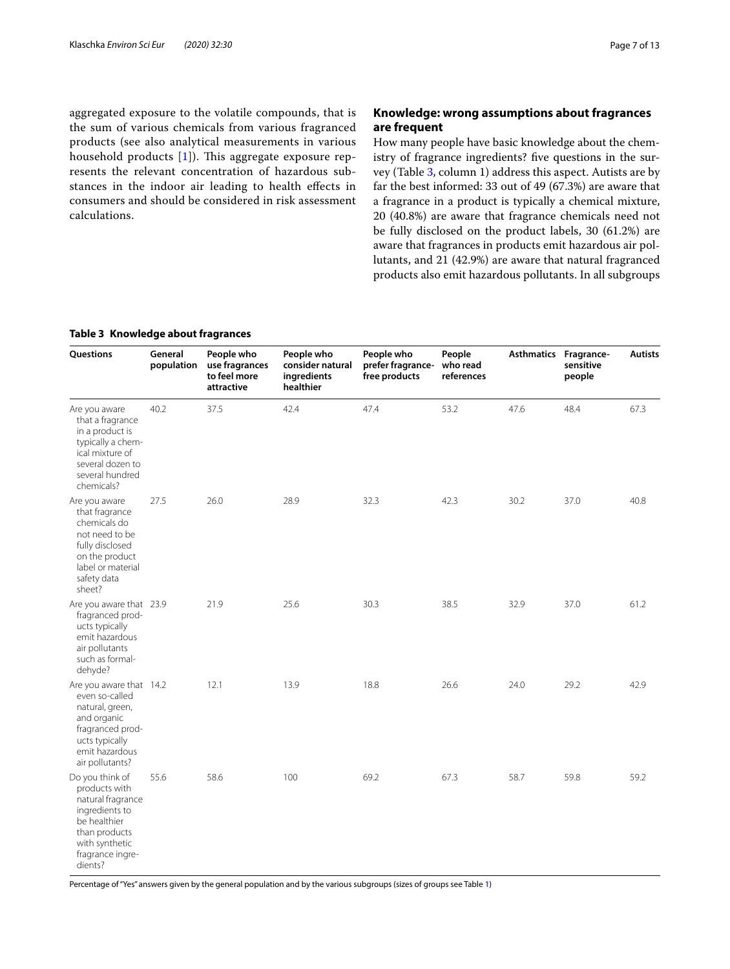aggregated exposure to the volatile compounds, that is the sum of various chemicals from various fragranced products (see also analytical measurements in various household products  $[1]$  $[1]$ ). This aggregate exposure represents the relevant concentration of hazardous substances in the indoor air leading to health efects in consumers and should be considered in risk assessment calculations.

## **Knowledge: wrong assumptions about fragrances are frequent**

How many people have basic knowledge about the chemistry of fragrance ingredients? fve questions in the survey (Table [3](#page-6-0), column 1) address this aspect. Autists are by far the best informed: 33 out of 49 (67.3%) are aware that a fragrance in a product is typically a chemical mixture, 20 (40.8%) are aware that fragrance chemicals need not be fully disclosed on the product labels, 30 (61.2%) are aware that fragrances in products emit hazardous air pollutants, and 21 (42.9%) are aware that natural fragranced products also emit hazardous pollutants. In all subgroups

## <span id="page-6-0"></span>**Table 3 Knowledge about fragrances**

| Questions                                                                                                                                                 | General<br>population | People who<br>use fragrances<br>to feel more<br>attractive | People who<br>consider natural<br>ingredients<br>healthier | People who<br>prefer fragrance-<br>free products | People<br>who read<br>references | <b>Asthmatics</b> | Fragrance-<br>sensitive<br>people | <b>Autists</b> |
|-----------------------------------------------------------------------------------------------------------------------------------------------------------|-----------------------|------------------------------------------------------------|------------------------------------------------------------|--------------------------------------------------|----------------------------------|-------------------|-----------------------------------|----------------|
| Are you aware<br>that a fragrance<br>in a product is<br>typically a chem-<br>ical mixture of<br>several dozen to<br>several hundred<br>chemicals?         | 40.2                  | 37.5                                                       | 42.4                                                       | 47.4                                             | 53.2                             | 47.6              | 48.4                              | 67.3           |
| Are you aware<br>that fragrance<br>chemicals do<br>not need to be<br>fully disclosed<br>on the product<br>label or material<br>safety data<br>sheet?      | 27.5                  | 26.0                                                       | 28.9                                                       | 32.3                                             | 42.3                             | 30.2              | 37.0                              | 40.8           |
| Are you aware that 23.9<br>fragranced prod-<br>ucts typically<br>emit hazardous<br>air pollutants<br>such as formal-<br>dehyde?                           |                       | 21.9                                                       | 25.6                                                       | 30.3                                             | 38.5                             | 32.9              | 37.0                              | 61.2           |
| Are you aware that 14.2<br>even so-called<br>natural, green,<br>and organic<br>fragranced prod-<br>ucts typically<br>emit hazardous<br>air pollutants?    |                       | 12.1                                                       | 13.9                                                       | 18.8                                             | 26.6                             | 24.0              | 29.2                              | 42.9           |
| Do you think of<br>products with<br>natural fragrance<br>ingredients to<br>be healthier<br>than products<br>with synthetic<br>fragrance ingre-<br>dients? | 55.6                  | 58.6                                                       | 100                                                        | 69.2                                             | 67.3                             | 58.7              | 59.8                              | 59.2           |

Percentage of "Yes" answers given by the general population and by the various subgroups (sizes of groups see Table [1](#page-3-0))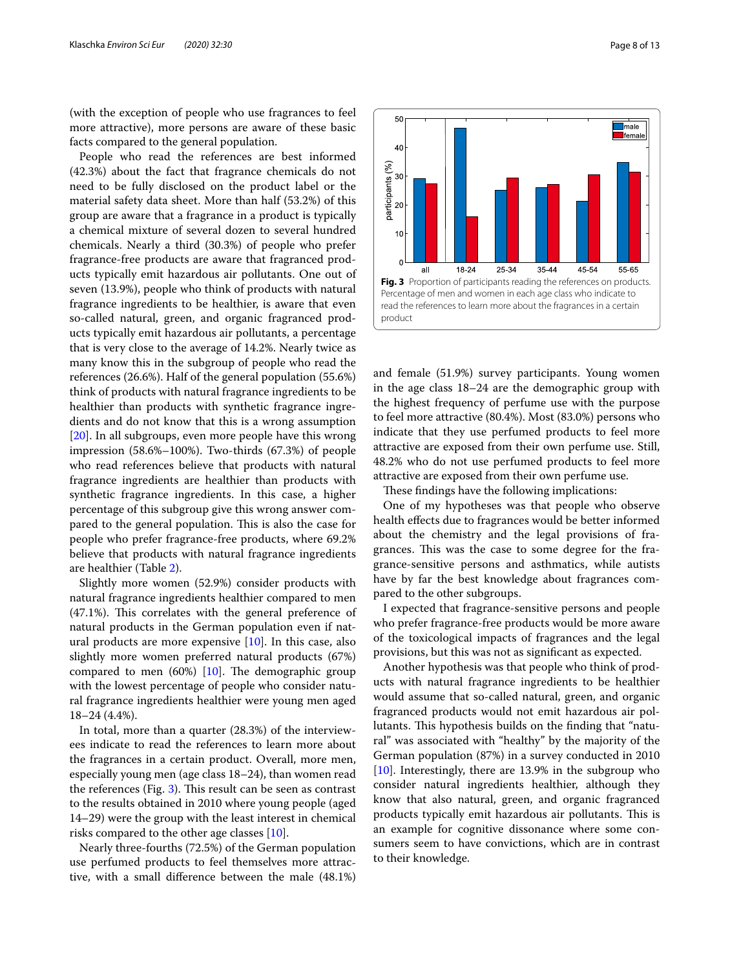(with the exception of people who use fragrances to feel more attractive), more persons are aware of these basic facts compared to the general population.

People who read the references are best informed (42.3%) about the fact that fragrance chemicals do not need to be fully disclosed on the product label or the material safety data sheet. More than half (53.2%) of this group are aware that a fragrance in a product is typically a chemical mixture of several dozen to several hundred chemicals. Nearly a third (30.3%) of people who prefer fragrance-free products are aware that fragranced products typically emit hazardous air pollutants. One out of seven (13.9%), people who think of products with natural fragrance ingredients to be healthier, is aware that even so-called natural, green, and organic fragranced products typically emit hazardous air pollutants, a percentage that is very close to the average of 14.2%. Nearly twice as many know this in the subgroup of people who read the references (26.6%). Half of the general population (55.6%) think of products with natural fragrance ingredients to be healthier than products with synthetic fragrance ingredients and do not know that this is a wrong assumption [[20\]](#page-12-18). In all subgroups, even more people have this wrong impression (58.6%–100%). Two-thirds (67.3%) of people who read references believe that products with natural fragrance ingredients are healthier than products with synthetic fragrance ingredients. In this case, a higher percentage of this subgroup give this wrong answer compared to the general population. This is also the case for people who prefer fragrance-free products, where 69.2% believe that products with natural fragrance ingredients are healthier (Table [2](#page-5-0)).

Slightly more women (52.9%) consider products with natural fragrance ingredients healthier compared to men  $(47.1%)$ . This correlates with the general preference of natural products in the German population even if natural products are more expensive  $[10]$  $[10]$ . In this case, also slightly more women preferred natural products (67%) compared to men  $(60%)$  [\[10](#page-12-9)]. The demographic group with the lowest percentage of people who consider natural fragrance ingredients healthier were young men aged 18–24 (4.4%).

In total, more than a quarter (28.3%) of the interviewees indicate to read the references to learn more about the fragrances in a certain product. Overall, more men, especially young men (age class 18–24), than women read the references (Fig.  $3$ ). This result can be seen as contrast to the results obtained in 2010 where young people (aged 14–29) were the group with the least interest in chemical risks compared to the other age classes [[10](#page-12-9)].

Nearly three-fourths (72.5%) of the German population use perfumed products to feel themselves more attractive, with a small diference between the male (48.1%)



<span id="page-7-0"></span>and female (51.9%) survey participants. Young women in the age class 18–24 are the demographic group with the highest frequency of perfume use with the purpose to feel more attractive (80.4%). Most (83.0%) persons who indicate that they use perfumed products to feel more attractive are exposed from their own perfume use. Still, 48.2% who do not use perfumed products to feel more attractive are exposed from their own perfume use.

These findings have the following implications:

One of my hypotheses was that people who observe health efects due to fragrances would be better informed about the chemistry and the legal provisions of fragrances. This was the case to some degree for the fragrance-sensitive persons and asthmatics, while autists have by far the best knowledge about fragrances compared to the other subgroups.

I expected that fragrance-sensitive persons and people who prefer fragrance-free products would be more aware of the toxicological impacts of fragrances and the legal provisions, but this was not as signifcant as expected.

Another hypothesis was that people who think of products with natural fragrance ingredients to be healthier would assume that so-called natural, green, and organic fragranced products would not emit hazardous air pollutants. This hypothesis builds on the finding that "natural" was associated with "healthy" by the majority of the German population (87%) in a survey conducted in 2010 [[10\]](#page-12-9). Interestingly, there are 13.9% in the subgroup who consider natural ingredients healthier, although they know that also natural, green, and organic fragranced products typically emit hazardous air pollutants. This is an example for cognitive dissonance where some consumers seem to have convictions, which are in contrast to their knowledge.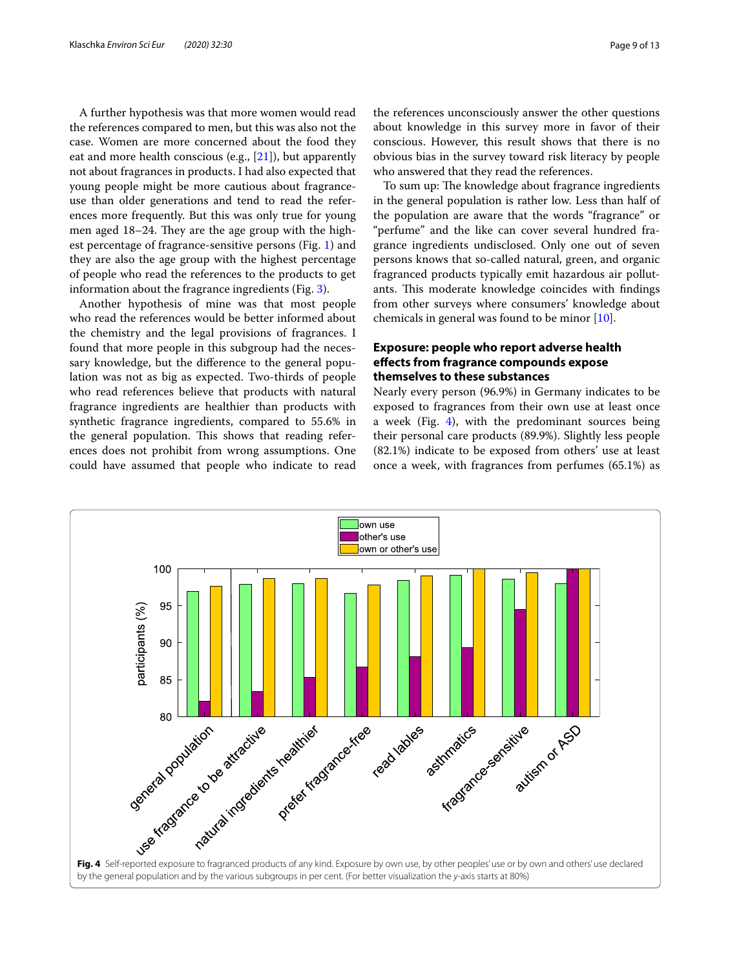A further hypothesis was that more women would read the references compared to men, but this was also not the case. Women are more concerned about the food they eat and more health conscious (e.g., [[21\]](#page-12-19)), but apparently not about fragrances in products. I had also expected that young people might be more cautious about fragranceuse than older generations and tend to read the references more frequently. But this was only true for young men aged 18–24. They are the age group with the highest percentage of fragrance-sensitive persons (Fig. [1](#page-4-0)) and they are also the age group with the highest percentage of people who read the references to the products to get information about the fragrance ingredients (Fig. [3\)](#page-7-0).

Another hypothesis of mine was that most people who read the references would be better informed about the chemistry and the legal provisions of fragrances. I found that more people in this subgroup had the necessary knowledge, but the diference to the general population was not as big as expected. Two-thirds of people who read references believe that products with natural fragrance ingredients are healthier than products with synthetic fragrance ingredients, compared to 55.6% in the general population. This shows that reading references does not prohibit from wrong assumptions. One could have assumed that people who indicate to read

the references unconsciously answer the other questions about knowledge in this survey more in favor of their conscious. However, this result shows that there is no obvious bias in the survey toward risk literacy by people who answered that they read the references.

To sum up: The knowledge about fragrance ingredients in the general population is rather low. Less than half of the population are aware that the words "fragrance" or "perfume" and the like can cover several hundred fragrance ingredients undisclosed. Only one out of seven persons knows that so-called natural, green, and organic fragranced products typically emit hazardous air pollutants. This moderate knowledge coincides with findings from other surveys where consumers' knowledge about chemicals in general was found to be minor [[10](#page-12-9)].

## **Exposure: people who report adverse health efects from fragrance compounds expose themselves to these substances**

Nearly every person (96.9%) in Germany indicates to be exposed to fragrances from their own use at least once a week (Fig.  $4$ ), with the predominant sources being their personal care products (89.9%). Slightly less people (82.1%) indicate to be exposed from others' use at least once a week, with fragrances from perfumes (65.1%) as

<span id="page-8-0"></span>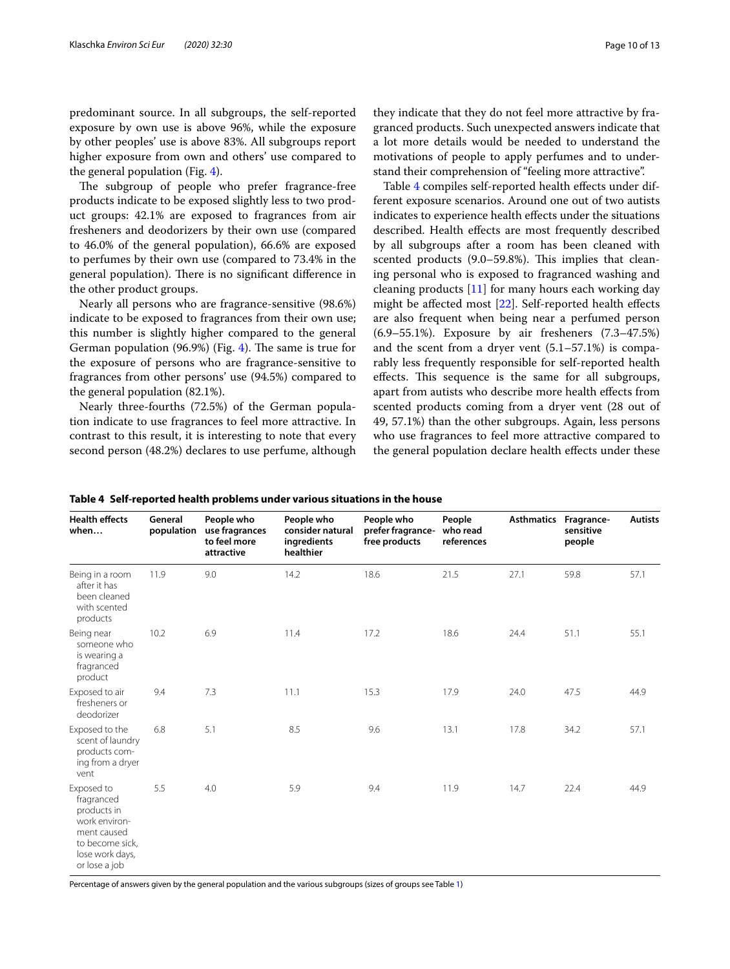predominant source. In all subgroups, the self-reported exposure by own use is above 96%, while the exposure by other peoples' use is above 83%. All subgroups report higher exposure from own and others' use compared to the general population (Fig. [4](#page-8-0)).

The subgroup of people who prefer fragrance-free products indicate to be exposed slightly less to two product groups: 42.1% are exposed to fragrances from air fresheners and deodorizers by their own use (compared to 46.0% of the general population), 66.6% are exposed to perfumes by their own use (compared to 73.4% in the general population). There is no significant difference in the other product groups.

Nearly all persons who are fragrance-sensitive (98.6%) indicate to be exposed to fragrances from their own use; this number is slightly higher compared to the general German population  $(96.9%)$  (Fig. [4\)](#page-8-0). The same is true for the exposure of persons who are fragrance-sensitive to fragrances from other persons' use (94.5%) compared to the general population (82.1%).

Nearly three-fourths (72.5%) of the German population indicate to use fragrances to feel more attractive. In contrast to this result, it is interesting to note that every second person (48.2%) declares to use perfume, although

they indicate that they do not feel more attractive by fragranced products. Such unexpected answers indicate that a lot more details would be needed to understand the motivations of people to apply perfumes and to understand their comprehension of "feeling more attractive".

Table [4](#page-9-0) compiles self-reported health effects under different exposure scenarios. Around one out of two autists indicates to experience health efects under the situations described. Health efects are most frequently described by all subgroups after a room has been cleaned with scented products (9.0–59.8%). This implies that cleaning personal who is exposed to fragranced washing and cleaning products [\[11](#page-12-10)] for many hours each working day might be affected most [\[22](#page-12-20)]. Self-reported health effects are also frequent when being near a perfumed person (6.9–55.1%). Exposure by air fresheners (7.3–47.5%) and the scent from a dryer vent (5.1–57.1%) is comparably less frequently responsible for self-reported health effects. This sequence is the same for all subgroups, apart from autists who describe more health efects from scented products coming from a dryer vent (28 out of 49, 57.1%) than the other subgroups. Again, less persons who use fragrances to feel more attractive compared to the general population declare health efects under these

| <b>Health effects</b><br>when                                                                                                  | General<br>population | People who<br>use fragrances<br>to feel more<br>attractive | People who<br>consider natural<br>ingredients<br>healthier | People who<br>prefer fragrance-<br>free products | People<br>who read<br>references | <b>Asthmatics</b> | Fragrance-<br>sensitive<br>people | <b>Autists</b> |
|--------------------------------------------------------------------------------------------------------------------------------|-----------------------|------------------------------------------------------------|------------------------------------------------------------|--------------------------------------------------|----------------------------------|-------------------|-----------------------------------|----------------|
| Being in a room<br>after it has<br>been cleaned<br>with scented<br>products                                                    | 11.9                  | 9.0                                                        | 14.2                                                       | 18.6                                             | 21.5                             | 27.1              | 59.8                              | 57.1           |
| Being near<br>someone who<br>is wearing a<br>fragranced<br>product                                                             | 10.2                  | 6.9                                                        | 11.4                                                       | 17.2                                             | 18.6                             | 24.4              | 51.1                              | 55.1           |
| Exposed to air<br>fresheners or<br>deodorizer                                                                                  | 9.4                   | 7.3                                                        | 11.1                                                       | 15.3                                             | 17.9                             | 24.0              | 47.5                              | 44.9           |
| Exposed to the<br>scent of laundry<br>products com-<br>ing from a dryer<br>vent                                                | 6.8                   | 5.1                                                        | 8.5                                                        | 9.6                                              | 13.1                             | 17.8              | 34.2                              | 57.1           |
| Exposed to<br>fragranced<br>products in<br>work environ-<br>ment caused<br>to become sick,<br>lose work days,<br>or lose a job | 5.5                   | 4.0                                                        | 5.9                                                        | 9.4                                              | 11.9                             | 14.7              | 22.4                              | 44.9           |

<span id="page-9-0"></span>**Table 4 Self-reported health problems under various situations in the house**

Percentage of answers given by the general population and the various subgroups (sizes of groups see Table [1\)](#page-3-0)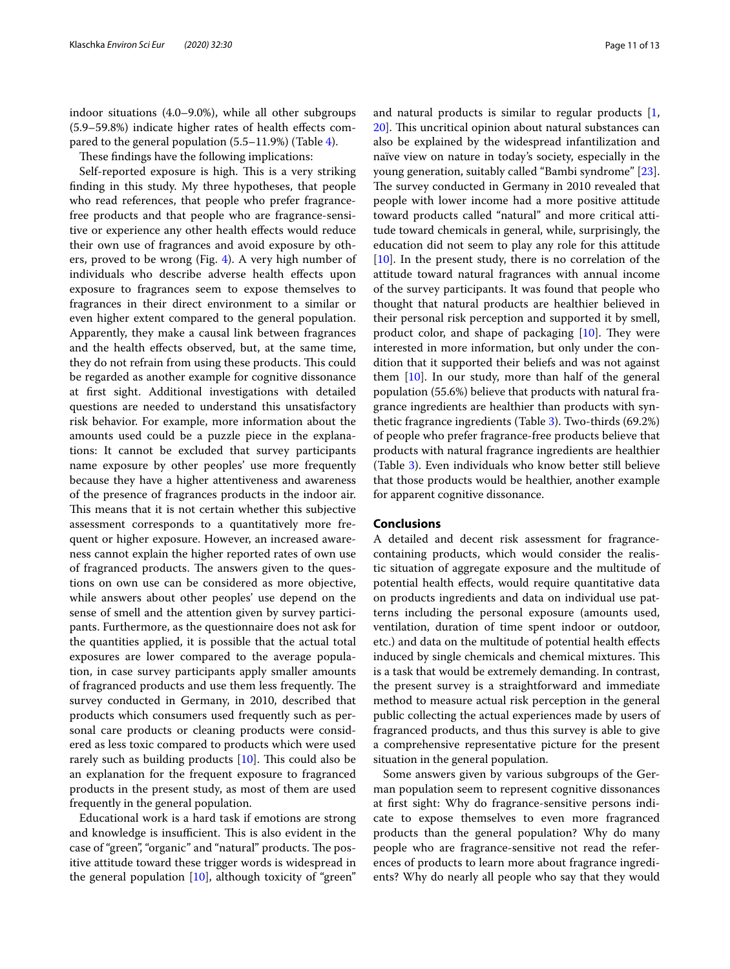indoor situations (4.0–9.0%), while all other subgroups (5.9–59.8%) indicate higher rates of health efects compared to the general population (5.5–11.9%) (Table [4\)](#page-9-0).

These findings have the following implications:

Self-reported exposure is high. This is a very striking fnding in this study. My three hypotheses, that people who read references, that people who prefer fragrancefree products and that people who are fragrance-sensitive or experience any other health efects would reduce their own use of fragrances and avoid exposure by others, proved to be wrong (Fig. [4\)](#page-8-0). A very high number of individuals who describe adverse health efects upon exposure to fragrances seem to expose themselves to fragrances in their direct environment to a similar or even higher extent compared to the general population. Apparently, they make a causal link between fragrances and the health efects observed, but, at the same time, they do not refrain from using these products. This could be regarded as another example for cognitive dissonance at frst sight. Additional investigations with detailed questions are needed to understand this unsatisfactory risk behavior. For example, more information about the amounts used could be a puzzle piece in the explanations: It cannot be excluded that survey participants name exposure by other peoples' use more frequently because they have a higher attentiveness and awareness of the presence of fragrances products in the indoor air. This means that it is not certain whether this subjective assessment corresponds to a quantitatively more frequent or higher exposure. However, an increased awareness cannot explain the higher reported rates of own use of fragranced products. The answers given to the questions on own use can be considered as more objective, while answers about other peoples' use depend on the sense of smell and the attention given by survey participants. Furthermore, as the questionnaire does not ask for the quantities applied, it is possible that the actual total exposures are lower compared to the average population, in case survey participants apply smaller amounts of fragranced products and use them less frequently. The survey conducted in Germany, in 2010, described that products which consumers used frequently such as personal care products or cleaning products were considered as less toxic compared to products which were used rarely such as building products  $[10]$  $[10]$ . This could also be an explanation for the frequent exposure to fragranced products in the present study, as most of them are used frequently in the general population.

Educational work is a hard task if emotions are strong and knowledge is insufficient. This is also evident in the case of "green", "organic" and "natural" products. The positive attitude toward these trigger words is widespread in the general population  $[10]$  $[10]$  $[10]$ , although toxicity of "green"

and natural products is similar to regular products [\[1](#page-12-0), [20\]](#page-12-18). This uncritical opinion about natural substances can also be explained by the widespread infantilization and naïve view on nature in today's society, especially in the young generation, suitably called "Bambi syndrome" [\[23](#page-12-21)]. The survey conducted in Germany in 2010 revealed that people with lower income had a more positive attitude toward products called "natural" and more critical attitude toward chemicals in general, while, surprisingly, the education did not seem to play any role for this attitude [[10\]](#page-12-9). In the present study, there is no correlation of the attitude toward natural fragrances with annual income of the survey participants. It was found that people who thought that natural products are healthier believed in their personal risk perception and supported it by smell, product color, and shape of packaging  $[10]$  $[10]$  $[10]$ . They were interested in more information, but only under the condition that it supported their beliefs and was not against them  $[10]$  $[10]$ . In our study, more than half of the general population (55.6%) believe that products with natural fragrance ingredients are healthier than products with synthetic fragrance ingredients (Table [3\)](#page-6-0). Two-thirds (69.2%) of people who prefer fragrance-free products believe that products with natural fragrance ingredients are healthier (Table [3](#page-6-0)). Even individuals who know better still believe that those products would be healthier, another example for apparent cognitive dissonance.

## **Conclusions**

A detailed and decent risk assessment for fragrancecontaining products, which would consider the realistic situation of aggregate exposure and the multitude of potential health efects, would require quantitative data on products ingredients and data on individual use patterns including the personal exposure (amounts used, ventilation, duration of time spent indoor or outdoor, etc.) and data on the multitude of potential health efects induced by single chemicals and chemical mixtures. This is a task that would be extremely demanding. In contrast, the present survey is a straightforward and immediate method to measure actual risk perception in the general public collecting the actual experiences made by users of fragranced products, and thus this survey is able to give a comprehensive representative picture for the present situation in the general population.

Some answers given by various subgroups of the German population seem to represent cognitive dissonances at frst sight: Why do fragrance-sensitive persons indicate to expose themselves to even more fragranced products than the general population? Why do many people who are fragrance-sensitive not read the references of products to learn more about fragrance ingredients? Why do nearly all people who say that they would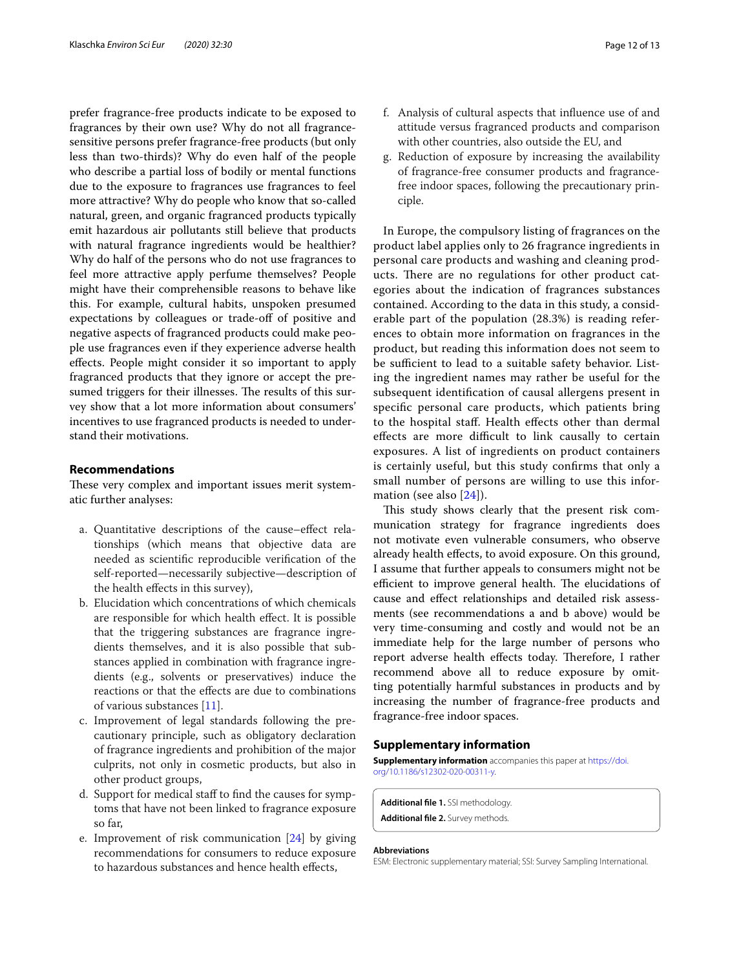prefer fragrance-free products indicate to be exposed to fragrances by their own use? Why do not all fragrancesensitive persons prefer fragrance-free products (but only less than two-thirds)? Why do even half of the people who describe a partial loss of bodily or mental functions due to the exposure to fragrances use fragrances to feel more attractive? Why do people who know that so-called natural, green, and organic fragranced products typically emit hazardous air pollutants still believe that products with natural fragrance ingredients would be healthier? Why do half of the persons who do not use fragrances to feel more attractive apply perfume themselves? People might have their comprehensible reasons to behave like this. For example, cultural habits, unspoken presumed expectations by colleagues or trade-off of positive and negative aspects of fragranced products could make people use fragrances even if they experience adverse health efects. People might consider it so important to apply fragranced products that they ignore or accept the presumed triggers for their illnesses. The results of this survey show that a lot more information about consumers' incentives to use fragranced products is needed to understand their motivations.

### **Recommendations**

These very complex and important issues merit systematic further analyses:

- a. Quantitative descriptions of the cause–efect relationships (which means that objective data are needed as scientifc reproducible verifcation of the self-reported—necessarily subjective—description of the health efects in this survey),
- b. Elucidation which concentrations of which chemicals are responsible for which health efect. It is possible that the triggering substances are fragrance ingredients themselves, and it is also possible that substances applied in combination with fragrance ingredients (e.g., solvents or preservatives) induce the reactions or that the efects are due to combinations of various substances [\[11](#page-12-10)].
- c. Improvement of legal standards following the precautionary principle, such as obligatory declaration of fragrance ingredients and prohibition of the major culprits, not only in cosmetic products, but also in other product groups,
- d. Support for medical staf to fnd the causes for symptoms that have not been linked to fragrance exposure so far,
- e. Improvement of risk communication [\[24\]](#page-12-22) by giving recommendations for consumers to reduce exposure to hazardous substances and hence health efects,
- f. Analysis of cultural aspects that infuence use of and attitude versus fragranced products and comparison with other countries, also outside the EU, and
- g. Reduction of exposure by increasing the availability of fragrance-free consumer products and fragrancefree indoor spaces, following the precautionary principle.

In Europe, the compulsory listing of fragrances on the product label applies only to 26 fragrance ingredients in personal care products and washing and cleaning products. There are no regulations for other product categories about the indication of fragrances substances contained. According to the data in this study, a considerable part of the population (28.3%) is reading references to obtain more information on fragrances in the product, but reading this information does not seem to be sufficient to lead to a suitable safety behavior. Listing the ingredient names may rather be useful for the subsequent identifcation of causal allergens present in specifc personal care products, which patients bring to the hospital staf. Health efects other than dermal effects are more difficult to link causally to certain exposures. A list of ingredients on product containers is certainly useful, but this study confrms that only a small number of persons are willing to use this information (see also [[24\]](#page-12-22)).

This study shows clearly that the present risk communication strategy for fragrance ingredients does not motivate even vulnerable consumers, who observe already health efects, to avoid exposure. On this ground, I assume that further appeals to consumers might not be efficient to improve general health. The elucidations of cause and efect relationships and detailed risk assessments (see recommendations a and b above) would be very time-consuming and costly and would not be an immediate help for the large number of persons who report adverse health effects today. Therefore, I rather recommend above all to reduce exposure by omitting potentially harmful substances in products and by increasing the number of fragrance-free products and fragrance-free indoor spaces.

## **Supplementary information**

**Supplementary information** accompanies this paper at [https://doi.](https://doi.org/10.1186/s12302-020-00311-y) [org/10.1186/s12302-020-00311-y.](https://doi.org/10.1186/s12302-020-00311-y)

<span id="page-11-1"></span><span id="page-11-0"></span>**Additional fle 1.** SSI methodology. **Additional fle 2.** Survey methods.

#### **Abbreviations**

ESM: Electronic supplementary material; SSI: Survey Sampling International.